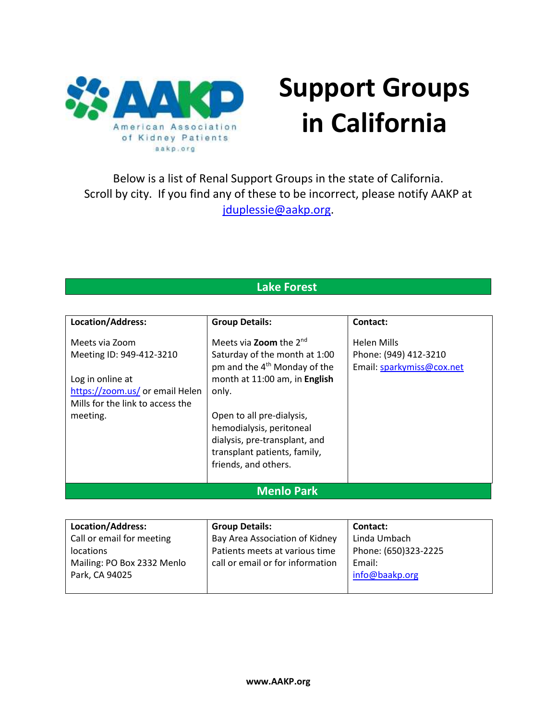

# **Support Groups in California**

Below is a list of Renal Support Groups in the state of California. Scroll by city. If you find any of these to be incorrect, please notify AAKP at [jduplessie@aakp.org.](mailto:jduplessie@aakp.org)

### **Lake Forest**

| Location/Address:                | <b>Group Details:</b>                    | Contact:                  |
|----------------------------------|------------------------------------------|---------------------------|
| Meets via Zoom                   | Meets via <b>Zoom</b> the $2^{nd}$       | <b>Helen Mills</b>        |
| Meeting ID: 949-412-3210         | Saturday of the month at 1:00            | Phone: (949) 412-3210     |
|                                  | pm and the 4 <sup>th</sup> Monday of the | Email: sparkymiss@cox.net |
| Log in online at                 | month at 11:00 am, in English            |                           |
| https://zoom.us/ or email Helen  | only.                                    |                           |
| Mills for the link to access the |                                          |                           |
| meeting.                         | Open to all pre-dialysis,                |                           |
|                                  | hemodialysis, peritoneal                 |                           |
|                                  | dialysis, pre-transplant, and            |                           |
|                                  | transplant patients, family,             |                           |
|                                  | friends, and others.                     |                           |
|                                  |                                          |                           |
| <b>Menlo Park</b>                |                                          |                           |

| Location/Address:          | <b>Group Details:</b>            | Contact:             |
|----------------------------|----------------------------------|----------------------|
| Call or email for meeting  | Bay Area Association of Kidney   | Linda Umbach         |
| <i>locations</i>           | Patients meets at various time   | Phone: (650)323-2225 |
| Mailing: PO Box 2332 Menlo | call or email or for information | Email:               |
| Park, CA 94025             |                                  | info@baakp.org       |
|                            |                                  |                      |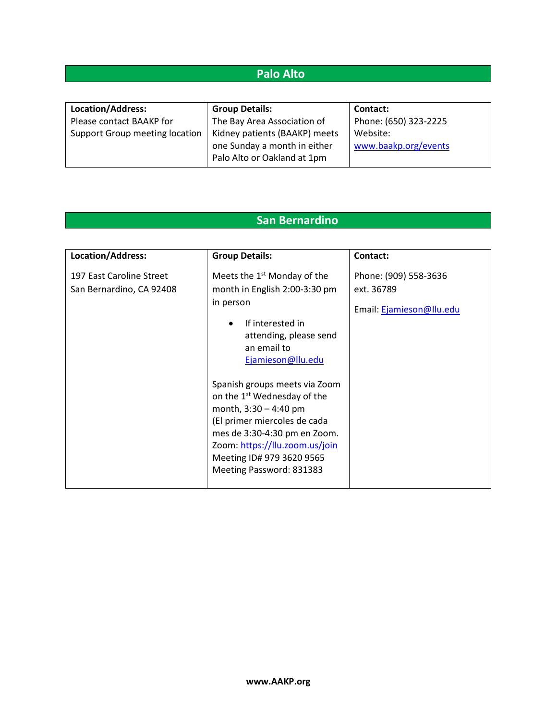## **Palo Alto**

| Location/Address:              | <b>Group Details:</b>         | <b>Contact:</b>       |
|--------------------------------|-------------------------------|-----------------------|
| Please contact BAAKP for       | The Bay Area Association of   | Phone: (650) 323-2225 |
| Support Group meeting location | Kidney patients (BAAKP) meets | Website:              |
|                                | one Sunday a month in either  | www.baakp.org/events  |
|                                | Palo Alto or Oakland at 1pm   |                       |

## **San Bernardino**

| Location/Address:                                    | <b>Group Details:</b>                                                                                                                                                                                                                                          | Contact:                                                        |
|------------------------------------------------------|----------------------------------------------------------------------------------------------------------------------------------------------------------------------------------------------------------------------------------------------------------------|-----------------------------------------------------------------|
| 197 East Caroline Street<br>San Bernardino, CA 92408 | Meets the $1st$ Monday of the<br>month in English 2:00-3:30 pm<br>in person<br>If interested in<br>attending, please send<br>an email to<br>Ejamieson@llu.edu                                                                                                  | Phone: (909) 558-3636<br>ext. 36789<br>Email: Ejamieson@llu.edu |
|                                                      | Spanish groups meets via Zoom<br>on the 1 <sup>st</sup> Wednesday of the<br>month, $3:30 - 4:40$ pm<br>(El primer miercoles de cada<br>mes de 3:30-4:30 pm en Zoom.<br>Zoom: https://llu.zoom.us/join<br>Meeting ID# 979 3620 9565<br>Meeting Password: 831383 |                                                                 |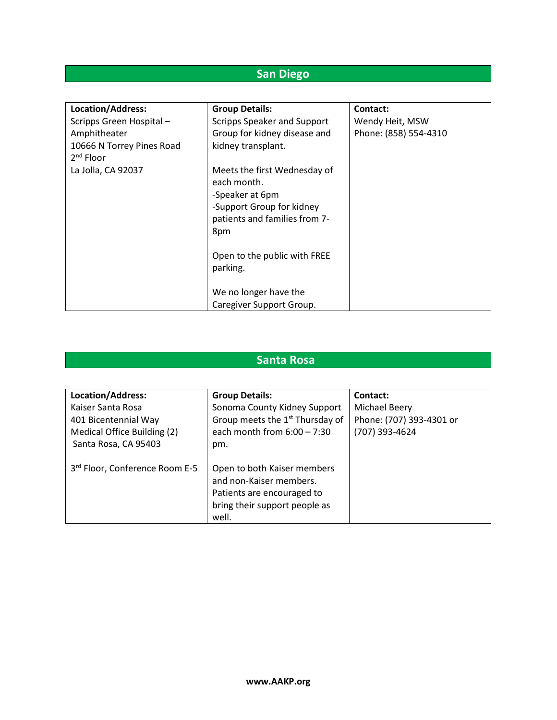## **San Diego**

| Location/Address:                        | <b>Group Details:</b>                                                                                                                                                           | Contact:              |
|------------------------------------------|---------------------------------------------------------------------------------------------------------------------------------------------------------------------------------|-----------------------|
| Scripps Green Hospital-                  | Scripps Speaker and Support                                                                                                                                                     | Wendy Heit, MSW       |
| Amphitheater                             | Group for kidney disease and                                                                                                                                                    | Phone: (858) 554-4310 |
| 10666 N Torrey Pines Road<br>$2nd$ Floor | kidney transplant.                                                                                                                                                              |                       |
| La Jolla, CA 92037                       | Meets the first Wednesday of<br>each month.<br>-Speaker at 6pm<br>-Support Group for kidney<br>patients and families from 7-<br>8pm<br>Open to the public with FREE<br>parking. |                       |
|                                          | We no longer have the<br>Caregiver Support Group.                                                                                                                               |                       |

#### **Santa Rosa**

| Location/Address:                          | <b>Group Details:</b>                       | Contact:                 |
|--------------------------------------------|---------------------------------------------|--------------------------|
| Kaiser Santa Rosa                          | Sonoma County Kidney Support                | Michael Beery            |
| 401 Bicentennial Way                       | Group meets the 1 <sup>st</sup> Thursday of | Phone: (707) 393-4301 or |
| Medical Office Building (2)                | each month from $6:00 - 7:30$               | (707) 393-4624           |
| Santa Rosa, CA 95403                       | pm.                                         |                          |
|                                            |                                             |                          |
| 3 <sup>rd</sup> Floor, Conference Room E-5 | Open to both Kaiser members                 |                          |
|                                            | and non-Kaiser members.                     |                          |
|                                            | Patients are encouraged to                  |                          |
|                                            | bring their support people as               |                          |
|                                            | well.                                       |                          |